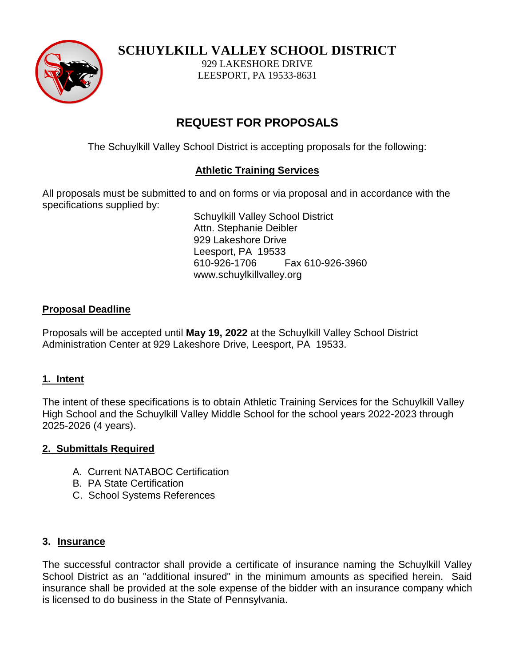

**SCHUYLKILL VALLEY SCHOOL DISTRICT**

929 LAKESHORE DRIVE LEESPORT, PA 19533-8631

## **REQUEST FOR PROPOSALS**

The Schuylkill Valley School District is accepting proposals for the following:

## **Athletic Training Services**

All proposals must be submitted to and on forms or via proposal and in accordance with the specifications supplied by:

Schuylkill Valley School District Attn. Stephanie Deibler 929 Lakeshore Drive Leesport, PA 19533 610-926-1706 Fax 610-926-3960 www.schuylkillvalley.org

## **Proposal Deadline**

Proposals will be accepted until **May 19, 2022** at the Schuylkill Valley School District Administration Center at 929 Lakeshore Drive, Leesport, PA 19533.

## **1. Intent**

The intent of these specifications is to obtain Athletic Training Services for the Schuylkill Valley High School and the Schuylkill Valley Middle School for the school years 2022-2023 through 2025-2026 (4 years).

## **2. Submittals Required**

- A. Current NATABOC Certification
- B. PA State Certification
- C. School Systems References

## **3. Insurance**

The successful contractor shall provide a certificate of insurance naming the Schuylkill Valley School District as an "additional insured" in the minimum amounts as specified herein. Said insurance shall be provided at the sole expense of the bidder with an insurance company which is licensed to do business in the State of Pennsylvania.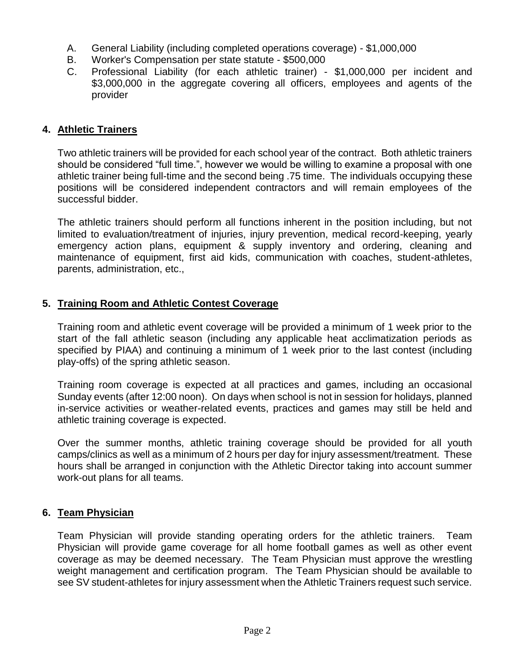- A. General Liability (including completed operations coverage) \$1,000,000
- B. Worker's Compensation per state statute \$500,000
- C. Professional Liability (for each athletic trainer) \$1,000,000 per incident and \$3,000,000 in the aggregate covering all officers, employees and agents of the provider

### **4. Athletic Trainers**

Two athletic trainers will be provided for each school year of the contract. Both athletic trainers should be considered "full time.", however we would be willing to examine a proposal with one athletic trainer being full-time and the second being .75 time. The individuals occupying these positions will be considered independent contractors and will remain employees of the successful bidder.

The athletic trainers should perform all functions inherent in the position including, but not limited to evaluation/treatment of injuries, injury prevention, medical record-keeping, yearly emergency action plans, equipment & supply inventory and ordering, cleaning and maintenance of equipment, first aid kids, communication with coaches, student-athletes, parents, administration, etc.,

## **5. Training Room and Athletic Contest Coverage**

Training room and athletic event coverage will be provided a minimum of 1 week prior to the start of the fall athletic season (including any applicable heat acclimatization periods as specified by PIAA) and continuing a minimum of 1 week prior to the last contest (including play-offs) of the spring athletic season.

Training room coverage is expected at all practices and games, including an occasional Sunday events (after 12:00 noon). On days when school is not in session for holidays, planned in-service activities or weather-related events, practices and games may still be held and athletic training coverage is expected.

Over the summer months, athletic training coverage should be provided for all youth camps/clinics as well as a minimum of 2 hours per day for injury assessment/treatment. These hours shall be arranged in conjunction with the Athletic Director taking into account summer work-out plans for all teams.

#### **6. Team Physician**

Team Physician will provide standing operating orders for the athletic trainers. Team Physician will provide game coverage for all home football games as well as other event coverage as may be deemed necessary. The Team Physician must approve the wrestling weight management and certification program. The Team Physician should be available to see SV student-athletes for injury assessment when the Athletic Trainers request such service.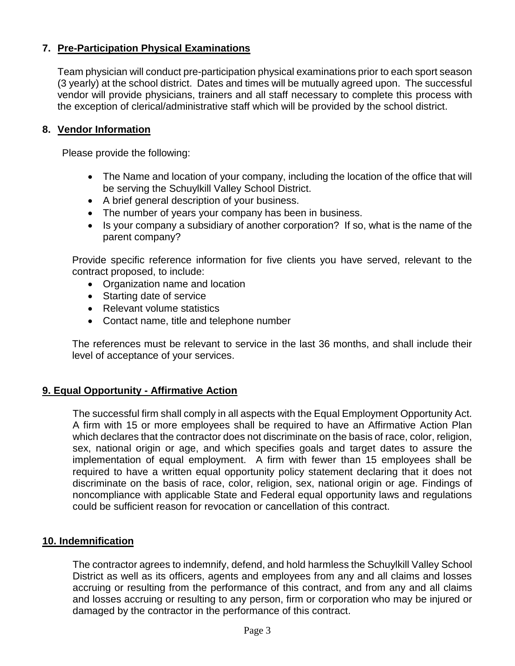## **7. Pre-Participation Physical Examinations**

Team physician will conduct pre-participation physical examinations prior to each sport season (3 yearly) at the school district. Dates and times will be mutually agreed upon. The successful vendor will provide physicians, trainers and all staff necessary to complete this process with the exception of clerical/administrative staff which will be provided by the school district.

#### **8. Vendor Information**

Please provide the following:

- The Name and location of your company, including the location of the office that will be serving the Schuylkill Valley School District.
- A brief general description of your business.
- The number of years your company has been in business.
- Is your company a subsidiary of another corporation? If so, what is the name of the parent company?

Provide specific reference information for five clients you have served, relevant to the contract proposed, to include:

- Organization name and location
- Starting date of service
- Relevant volume statistics
- Contact name, title and telephone number

The references must be relevant to service in the last 36 months, and shall include their level of acceptance of your services.

## **9. Equal Opportunity - Affirmative Action**

The successful firm shall comply in all aspects with the Equal Employment Opportunity Act. A firm with 15 or more employees shall be required to have an Affirmative Action Plan which declares that the contractor does not discriminate on the basis of race, color, religion, sex, national origin or age, and which specifies goals and target dates to assure the implementation of equal employment. A firm with fewer than 15 employees shall be required to have a written equal opportunity policy statement declaring that it does not discriminate on the basis of race, color, religion, sex, national origin or age. Findings of noncompliance with applicable State and Federal equal opportunity laws and regulations could be sufficient reason for revocation or cancellation of this contract.

#### **10. Indemnification**

The contractor agrees to indemnify, defend, and hold harmless the Schuylkill Valley School District as well as its officers, agents and employees from any and all claims and losses accruing or resulting from the performance of this contract, and from any and all claims and losses accruing or resulting to any person, firm or corporation who may be injured or damaged by the contractor in the performance of this contract.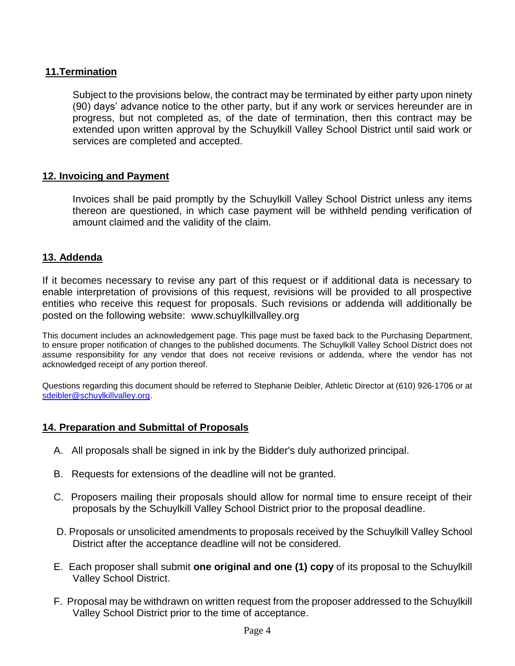## **11.Termination**

Subject to the provisions below, the contract may be terminated by either party upon ninety (90) days' advance notice to the other party, but if any work or services hereunder are in progress, but not completed as, of the date of termination, then this contract may be extended upon written approval by the Schuylkill Valley School District until said work or services are completed and accepted.

#### **12. Invoicing and Payment**

Invoices shall be paid promptly by the Schuylkill Valley School District unless any items thereon are questioned, in which case payment will be withheld pending verification of amount claimed and the validity of the claim.

#### **13. Addenda**

If it becomes necessary to revise any part of this request or if additional data is necessary to enable interpretation of provisions of this request, revisions will be provided to all prospective entities who receive this request for proposals. Such revisions or addenda will additionally be posted on the following website: www.schuylkillvalley.org

This document includes an acknowledgement page. This page must be faxed back to the Purchasing Department, to ensure proper notification of changes to the published documents. The Schuylkill Valley School District does not assume responsibility for any vendor that does not receive revisions or addenda, where the vendor has not acknowledged receipt of any portion thereof.

Questions regarding this document should be referred to Stephanie Deibler, Athletic Director at (610) 926-1706 or at [sdeibler@schuylkillvalley.org.](mailto:sdeibler@schuylkillvalley.org)

#### **14. Preparation and Submittal of Proposals**

- A. All proposals shall be signed in ink by the Bidder's duly authorized principal.
- B. Requests for extensions of the deadline will not be granted.
- C. Proposers mailing their proposals should allow for normal time to ensure receipt of their proposals by the Schuylkill Valley School District prior to the proposal deadline.
- D. Proposals or unsolicited amendments to proposals received by the Schuylkill Valley School District after the acceptance deadline will not be considered.
- E. Each proposer shall submit **one original and one (1) copy** of its proposal to the Schuylkill Valley School District.
- F. Proposal may be withdrawn on written request from the proposer addressed to the Schuylkill Valley School District prior to the time of acceptance.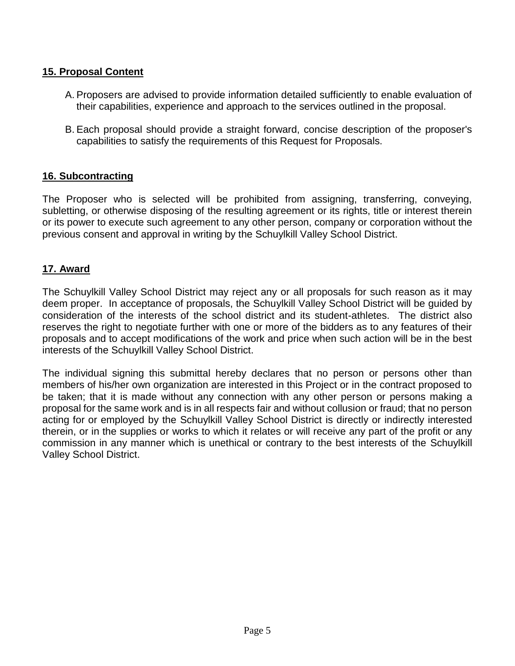## **15. Proposal Content**

- A. Proposers are advised to provide information detailed sufficiently to enable evaluation of their capabilities, experience and approach to the services outlined in the proposal.
- B. Each proposal should provide a straight forward, concise description of the proposer's capabilities to satisfy the requirements of this Request for Proposals.

#### **16. Subcontracting**

The Proposer who is selected will be prohibited from assigning, transferring, conveying, subletting, or otherwise disposing of the resulting agreement or its rights, title or interest therein or its power to execute such agreement to any other person, company or corporation without the previous consent and approval in writing by the Schuylkill Valley School District.

#### **17. Award**

The Schuylkill Valley School District may reject any or all proposals for such reason as it may deem proper. In acceptance of proposals, the Schuylkill Valley School District will be guided by consideration of the interests of the school district and its student-athletes. The district also reserves the right to negotiate further with one or more of the bidders as to any features of their proposals and to accept modifications of the work and price when such action will be in the best interests of the Schuylkill Valley School District.

The individual signing this submittal hereby declares that no person or persons other than members of his/her own organization are interested in this Project or in the contract proposed to be taken; that it is made without any connection with any other person or persons making a proposal for the same work and is in all respects fair and without collusion or fraud; that no person acting for or employed by the Schuylkill Valley School District is directly or indirectly interested therein, or in the supplies or works to which it relates or will receive any part of the profit or any commission in any manner which is unethical or contrary to the best interests of the Schuylkill Valley School District.